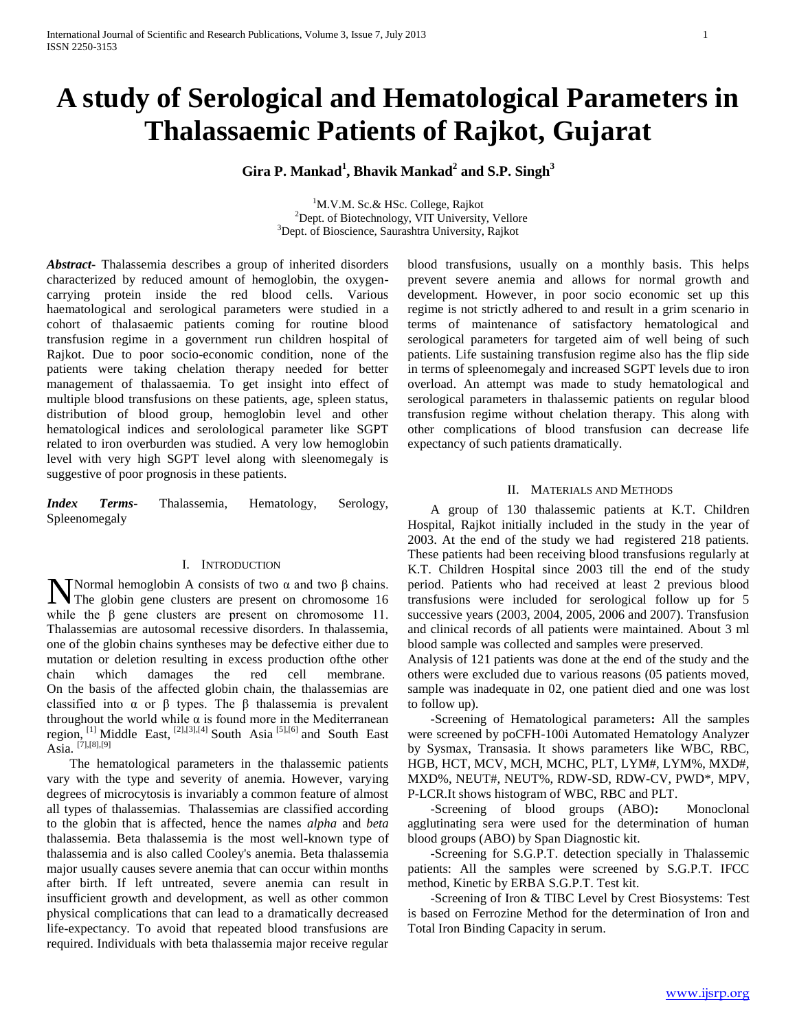# **A study of Serological and Hematological Parameters in Thalassaemic Patients of Rajkot, Gujarat**

**Gira P. Mankad<sup>1</sup> , Bhavik Mankad<sup>2</sup> and S.P. Singh<sup>3</sup>**

<sup>1</sup>M.V.M. Sc.& HSc. College, Rajkot <sup>2</sup>Dept. of Biotechnology, VIT University, Vellore <sup>3</sup>Dept. of Bioscience, Saurashtra University, Rajkot

*Abstract***-** Thalassemia describes a group of inherited disorders characterized by reduced amount of hemoglobin, the oxygencarrying protein inside the red blood cells. Various haematological and serological parameters were studied in a cohort of thalasaemic patients coming for routine blood transfusion regime in a government run children hospital of Rajkot. Due to poor socio-economic condition, none of the patients were taking chelation therapy needed for better management of thalassaemia. To get insight into effect of multiple blood transfusions on these patients, age, spleen status, distribution of blood group, hemoglobin level and other hematological indices and serolological parameter like SGPT related to iron overburden was studied. A very low hemoglobin level with very high SGPT level along with sleenomegaly is suggestive of poor prognosis in these patients.

*Index Terms*- Thalassemia, Hematology, Serology, Spleenomegaly

# I. INTRODUCTION

Normal hemoglobin A consists of two  $\alpha$  and two  $\beta$  chains. **N** Normal hemoglobin A consists of two  $\alpha$  and two  $\beta$  chains.<br>The globin gene clusters are present on chromosome 16 while the β gene clusters are present on chromosome 11. Thalassemias are autosomal recessive disorders. In thalassemia, one of the globin chains syntheses may be defective either due to mutation or deletion resulting in excess production ofthe other chain which damages the red cell membrane. On the basis of the affected globin chain, the thalassemias are classified into  $\alpha$  or  $\beta$  types. The  $\beta$  thalassemia is prevalent throughout the world while  $\alpha$  is found more in the Mediterranean region, [1] Middle East, [2],[3],[4] South Asia [5],[6] and South East Asia.  $[7]$ , $[8]$ , $[9]$ 

 The hematological parameters in the thalassemic patients vary with the type and severity of anemia. However, varying degrees of microcytosis is invariably a common feature of almost all types of thalassemias. Thalassemias are classified according to the globin that is affected, hence the names *alpha* and *beta* thalassemia. Beta thalassemia is the most well-known type of thalassemia and is also called Cooley's anemia. Beta thalassemia major usually causes severe anemia that can occur within months after birth. If left untreated, severe anemia can result in insufficient growth and development, as well as other common physical complications that can lead to a dramatically decreased life-expectancy. To avoid that repeated blood transfusions are required. Individuals with beta thalassemia major receive regular

blood transfusions, usually on a monthly basis. This helps prevent severe anemia and allows for normal growth and development. However, in poor socio economic set up this regime is not strictly adhered to and result in a grim scenario in terms of maintenance of satisfactory hematological and serological parameters for targeted aim of well being of such patients. Life sustaining transfusion regime also has the flip side in terms of spleenomegaly and increased SGPT levels due to iron overload. An attempt was made to study hematological and serological parameters in thalassemic patients on regular blood transfusion regime without chelation therapy. This along with other complications of blood transfusion can decrease life expectancy of such patients dramatically.

### II. MATERIALS AND METHODS

 A group of 130 thalassemic patients at K.T. Children Hospital, Rajkot initially included in the study in the year of 2003. At the end of the study we had registered 218 patients. These patients had been receiving blood transfusions regularly at K.T. Children Hospital since 2003 till the end of the study period. Patients who had received at least 2 previous blood transfusions were included for serological follow up for 5 successive years (2003, 2004, 2005, 2006 and 2007). Transfusion and clinical records of all patients were maintained. About 3 ml blood sample was collected and samples were preserved.

Analysis of 121 patients was done at the end of the study and the others were excluded due to various reasons (05 patients moved, sample was inadequate in 02, one patient died and one was lost to follow up).

 **-**Screening of Hematological parameters**:** All the samples were screened by poCFH-100i Automated Hematology Analyzer by Sysmax, Transasia. It shows parameters like WBC, RBC, HGB, HCT, MCV, MCH, MCHC, PLT, LYM#, LYM%, MXD#, MXD%, NEUT#, NEUT%, RDW-SD, RDW-CV, PWD\*, MPV, P-LCR.It shows histogram of WBC, RBC and PLT.

 -Screening of blood groups (ABO)**:** Monoclonal agglutinating sera were used for the determination of human blood groups (ABO) by Span Diagnostic kit.

 -Screening for S.G.P.T. detection specially in Thalassemic patients: All the samples were screened by S.G.P.T. IFCC method, Kinetic by ERBA S.G.P.T. Test kit.

 -Screening of Iron & TIBC Level by Crest Biosystems: Test is based on Ferrozine Method for the determination of Iron and Total Iron Binding Capacity in serum.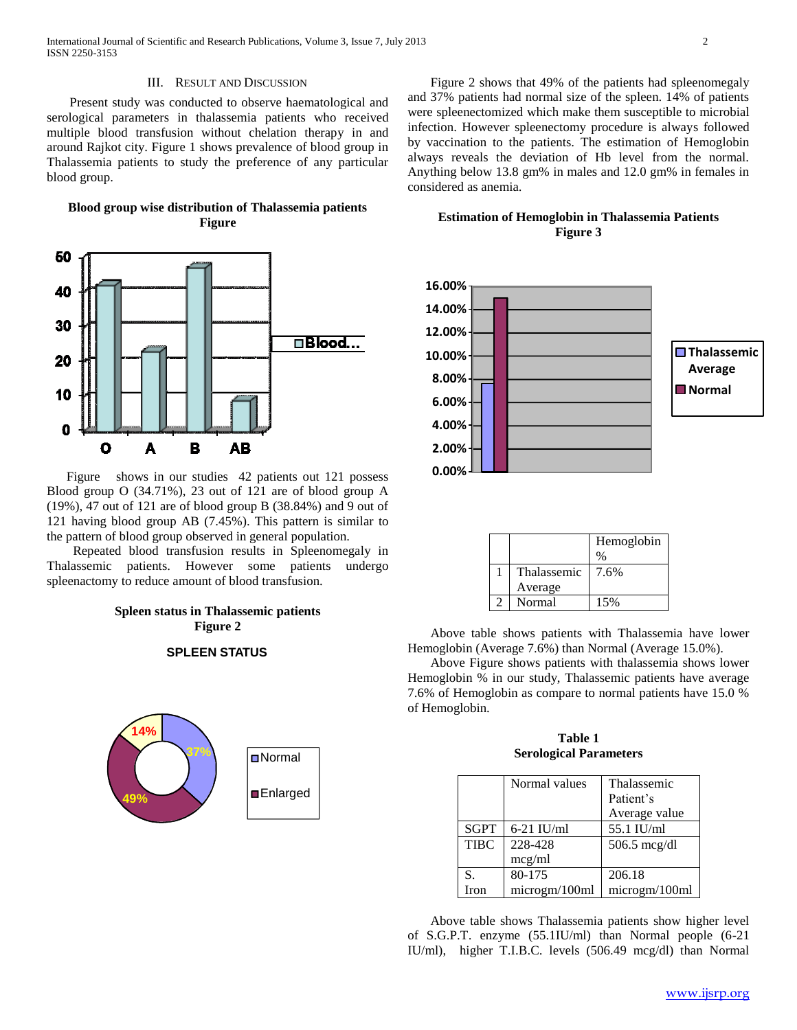#### III. RESULT AND DISCUSSION

 Present study was conducted to observe haematological and serological parameters in thalassemia patients who received multiple blood transfusion without chelation therapy in and around Rajkot city. Figure 1 shows prevalence of blood group in Thalassemia patients to study the preference of any particular blood group.

**Blood group wise distribution of Thalassemia patients Figure**



 Figure shows in our studies 42 patients out 121 possess Blood group O (34.71%), 23 out of 121 are of blood group A (19%), 47 out of 121 are of blood group B (38.84%) and 9 out of 121 having blood group AB (7.45%). This pattern is similar to the pattern of blood group observed in general population.

 Repeated blood transfusion results in Spleenomegaly in Thalassemic patients. However some patients undergo spleenactomy to reduce amount of blood transfusion.

# **Spleen status in Thalassemic patients Figure 2**

#### **SPLEEN STATUS**



 Figure 2 shows that 49% of the patients had spleenomegaly and 37% patients had normal size of the spleen. 14% of patients were spleenectomized which make them susceptible to microbial infection. However spleenectomy procedure is always followed by vaccination to the patients. The estimation of Hemoglobin always reveals the deviation of Hb level from the normal. Anything below 13.8 gm% in males and 12.0 gm% in females in considered as anemia.

## **Estimation of Hemoglobin in Thalassemia Patients Figure 3**



|             | Hemoglobin |  |  |
|-------------|------------|--|--|
|             | %          |  |  |
| Thalassemic | 7.6%       |  |  |
| Average     |            |  |  |
| Normal      | 15%        |  |  |

 Above table shows patients with Thalassemia have lower Hemoglobin (Average 7.6%) than Normal (Average 15.0%).

 Above Figure shows patients with thalassemia shows lower Hemoglobin % in our study, Thalassemic patients have average 7.6% of Hemoglobin as compare to normal patients have 15.0 % of Hemoglobin.

**Table 1 Serological Parameters**

|             | Normal values | Thalassemic            |
|-------------|---------------|------------------------|
|             |               | Patient's              |
|             |               | Average value          |
| <b>SGPT</b> | $6-21$ IU/ml  | 55.1 IU/ml             |
| <b>TIBC</b> | 228-428       | $506.5 \text{~meg/dl}$ |
|             | mcg/ml        |                        |
| S.          | 80-175        | 206.18                 |
| Iron        | microgm/100ml | microgm/100ml          |

 Above table shows Thalassemia patients show higher level of S.G.P.T. enzyme (55.1IU/ml) than Normal people (6-21 IU/ml), higher T.I.B.C. levels (506.49 mcg/dl) than Normal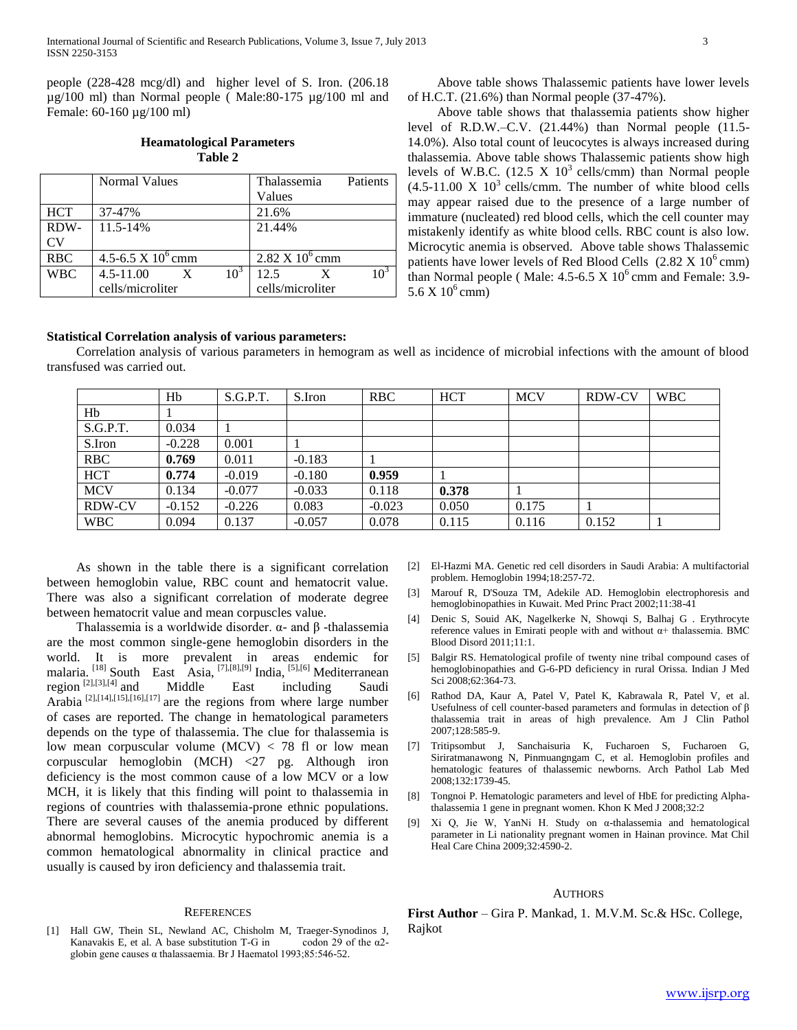people (228-428 mcg/dl) and higher level of S. Iron. (206.18 µg/100 ml) than Normal people ( Male:80-175 µg/100 ml and Female: 60-160 µg/100 ml)

# **Heamatological Parameters Table 2**

|            | <b>Normal Values</b> |                  | Thalassemia                       | Patients |
|------------|----------------------|------------------|-----------------------------------|----------|
|            |                      |                  | Values                            |          |
| <b>HCT</b> | 37-47%               |                  | 21.6%                             |          |
| RDW-       | 11.5-14%             |                  | 21.44%                            |          |
| CV         |                      |                  |                                   |          |
| <b>RBC</b> | 4.5-6.5 X $10^6$ cmm |                  | $2.82 \text{ X } 10^6 \text{ cm}$ |          |
| <b>WBC</b> | $4.5 - 11.00$<br>X   | 10 <sup>5</sup>  | 12.5<br>X                         | ∩⊇       |
|            | cells/microliter     | cells/microliter |                                   |          |

 Above table shows Thalassemic patients have lower levels of H.C.T. (21.6%) than Normal people (37-47%).

 Above table shows that thalassemia patients show higher level of R.D.W.–C.V. (21.44%) than Normal people (11.5- 14.0%). Also total count of leucocytes is always increased during thalassemia. Above table shows Thalassemic patients show high levels of W.B.C. (12.5 X  $10^3$  cells/cmm) than Normal people  $(4.5-11.00 \text{ X } 10^3 \text{ cells/cmm})$ . The number of white blood cells may appear raised due to the presence of a large number of immature (nucleated) red blood cells, which the cell counter may mistakenly identify as white blood cells. RBC count is also low. Microcytic anemia is observed. Above table shows Thalassemic patients have lower levels of Red Blood Cells  $(2.82 \text{ X } 10^6 \text{ cm})$ than Normal people (Male:  $4.5-6.5 \times 10^6$  cmm and Female: 3.9- $5.6 \text{ X } 10^6 \text{ cm}$ m)

## **Statistical Correlation analysis of various parameters:**

 Correlation analysis of various parameters in hemogram as well as incidence of microbial infections with the amount of blood transfused was carried out.

|               | Hb       | S.G.P.T. | S.Iron   | <b>RBC</b> | <b>HCT</b> | <b>MCV</b> | <b>RDW-CV</b> | <b>WBC</b> |
|---------------|----------|----------|----------|------------|------------|------------|---------------|------------|
| Hb            |          |          |          |            |            |            |               |            |
| S.G.P.T.      | 0.034    |          |          |            |            |            |               |            |
| S.Iron        | $-0.228$ | 0.001    |          |            |            |            |               |            |
| <b>RBC</b>    | 0.769    | 0.011    | $-0.183$ |            |            |            |               |            |
| <b>HCT</b>    | 0.774    | $-0.019$ | $-0.180$ | 0.959      |            |            |               |            |
| <b>MCV</b>    | 0.134    | $-0.077$ | $-0.033$ | 0.118      | 0.378      |            |               |            |
| <b>RDW-CV</b> | $-0.152$ | $-0.226$ | 0.083    | $-0.023$   | 0.050      | 0.175      |               |            |
| <b>WBC</b>    | 0.094    | 0.137    | $-0.057$ | 0.078      | 0.115      | 0.116      | 0.152         |            |

 As shown in the table there is a significant correlation between hemoglobin value, RBC count and hematocrit value. There was also a significant correlation of moderate degree between hematocrit value and mean corpuscles value.

 Thalassemia is a worldwide disorder. α- and β -thalassemia are the most common single-gene hemoglobin disorders in the world. It is more prevalent in areas endemic for malaria. <sup>[18]</sup> South East Asia, <sup>[7],[8],[9]</sup> India, <sup>[5],[6]</sup> Mediterranean region  $[2]$ ,  $[3]$ ,  $[4]$  and Middle East including Saudi Arabia  $^{[2],[14],[15],[16],[17]}$  are the regions from where large number of cases are reported. The change in hematological parameters depends on the type of thalassemia. The clue for thalassemia is low mean corpuscular volume  $(MCV) < 78$  fl or low mean corpuscular hemoglobin (MCH) <27 pg. Although iron deficiency is the most common cause of a low MCV or a low MCH, it is likely that this finding will point to thalassemia in regions of countries with thalassemia-prone ethnic populations. There are several causes of the anemia produced by different abnormal hemoglobins. Microcytic hypochromic anemia is a common hematological abnormality in clinical practice and usually is caused by iron deficiency and thalassemia trait.

#### **REFERENCES**

[1] Hall GW, Thein SL, Newland AC, Chisholm M, Traeger-Synodinos J, Kanavakis E, et al. A base substitution T-G in codon 29 of the  $\alpha$ 2globin gene causes α thalassaemia. Br J Haematol 1993;85:546-52.

- [2] El-Hazmi MA. Genetic red cell disorders in Saudi Arabia: A multifactorial problem. Hemoglobin 1994;18:257-72.
- [3] Marouf R, D'Souza TM, Adekile AD. Hemoglobin electrophoresis and hemoglobinopathies in Kuwait. Med Princ Pract 2002;11:38-41
- [4] Denic S, Souid AK, Nagelkerke N, Showqi S, Balhaj G . Erythrocyte reference values in Emirati people with and without  $α+$  thalassemia. BMC Blood Disord 2011;11:1.
- [5] Balgir RS. Hematological profile of twenty nine tribal compound cases of hemoglobinopathies and G-6-PD deficiency in rural Orissa. Indian J Med Sci 2008;62:364-73.
- [6] Rathod DA, Kaur A, Patel V, Patel K, Kabrawala R, Patel V, et al. Usefulness of cell counter-based parameters and formulas in detection of β thalassemia trait in areas of high prevalence. Am J Clin Pathol 2007;128:585-9.
- [7] Tritipsombut J, Sanchaisuria K, Fucharoen S, Fucharoen G, Siriratmanawong N, Pinmuangngam C, et al. Hemoglobin profiles and hematologic features of thalassemic newborns. Arch Pathol Lab Med 2008;132:1739-45.
- [8] Tongnoi P. Hematologic parameters and level of HbE for predicting Alphathalassemia 1 gene in pregnant women. Khon K Med J 2008;32:2
- [9] Xi Q, Jie W, YanNi H. Study on α-thalassemia and hematological parameter in Li nationality pregnant women in Hainan province. Mat Chil Heal Care China 2009;32:4590-2.

### **AUTHORS**

**First Author** – Gira P. Mankad, 1. M.V.M. Sc.& HSc. College, Rajkot